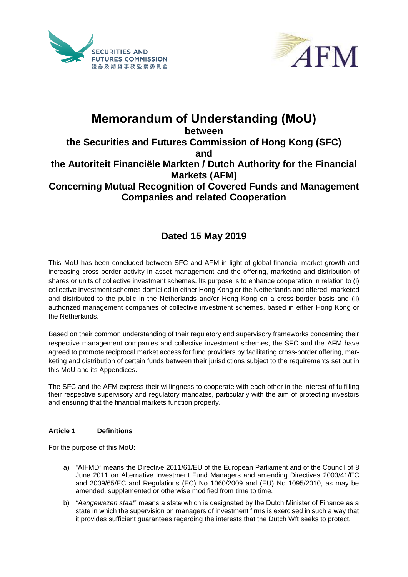



# **Memorandum of Understanding (MoU) between the Securities and Futures Commission of Hong Kong (SFC) and the Autoriteit Financiële Markten / Dutch Authority for the Financial Markets (AFM)**

**Concerning Mutual Recognition of Covered Funds and Management Companies and related Cooperation**

# **Dated 15 May 2019**

This MoU has been concluded between SFC and AFM in light of global financial market growth and increasing cross-border activity in asset management and the offering, marketing and distribution of shares or units of collective investment schemes. Its purpose is to enhance cooperation in relation to (i) collective investment schemes domiciled in either Hong Kong or the Netherlands and offered, marketed and distributed to the public in the Netherlands and/or Hong Kong on a cross-border basis and (ii) authorized management companies of collective investment schemes, based in either Hong Kong or the Netherlands.

Based on their common understanding of their regulatory and supervisory frameworks concerning their respective management companies and collective investment schemes, the SFC and the AFM have agreed to promote reciprocal market access for fund providers by facilitating cross-border offering, marketing and distribution of certain funds between their jurisdictions subject to the requirements set out in this MoU and its Appendices.

The SFC and the AFM express their willingness to cooperate with each other in the interest of fulfilling their respective supervisory and regulatory mandates, particularly with the aim of protecting investors and ensuring that the financial markets function properly.

### **Article 1 Definitions**

For the purpose of this MoU:

- a) "AIFMD" means the Directive 2011/61/EU of the European Parliament and of the Council of 8 June 2011 on Alternative Investment Fund Managers and amending Directives 2003/41/EC and 2009/65/EC and Regulations (EC) No 1060/2009 and (EU) No 1095/2010, as may be amended, supplemented or otherwise modified from time to time.
- b) "*Aangewezen staat*" means a state which is designated by the Dutch Minister of Finance as a state in which the supervision on managers of investment firms is exercised in such a way that it provides sufficient guarantees regarding the interests that the Dutch Wft seeks to protect.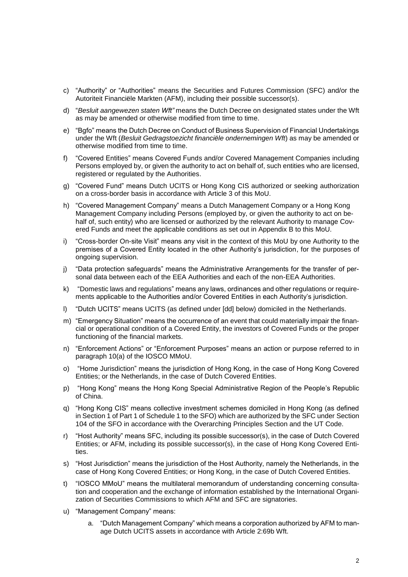- c) "Authority" or "Authorities" means the Securities and Futures Commission (SFC) and/or the Autoriteit Financiële Markten (AFM), including their possible successor(s).
- d) "*Besluit aangewezen staten Wft"* means the Dutch Decree on designated states under the Wft as may be amended or otherwise modified from time to time.
- e) "Bgfo" means the Dutch Decree on Conduct of Business Supervision of Financial Undertakings under the Wft (*Besluit Gedragstoezicht financiële ondernemingen Wft*) as may be amended or otherwise modified from time to time.
- f) "Covered Entities" means Covered Funds and/or Covered Management Companies including Persons employed by, or given the authority to act on behalf of, such entities who are licensed, registered or regulated by the Authorities.
- g) "Covered Fund" means Dutch UCITS or Hong Kong CIS authorized or seeking authorization on a cross-border basis in accordance with Article 3 of this MoU.
- h) "Covered Management Company" means a Dutch Management Company or a Hong Kong Management Company including Persons (employed by, or given the authority to act on behalf of, such entity) who are licensed or authorized by the relevant Authority to manage Covered Funds and meet the applicable conditions as set out in Appendix B to this MoU.
- i) "Cross-border On-site Visit" means any visit in the context of this MoU by one Authority to the premises of a Covered Entity located in the other Authority's jurisdiction, for the purposes of ongoing supervision.
- j) "Data protection safeguards" means the Administrative Arrangements for the transfer of personal data between each of the EEA Authorities and each of the non-EEA Authorities.
- k) "Domestic laws and regulations" means any laws, ordinances and other regulations or requirements applicable to the Authorities and/or Covered Entities in each Authority's jurisdiction.
- l) "Dutch UCITS" means UCITS (as defined under [dd] below) domiciled in the Netherlands.
- m) "Emergency Situation" means the occurrence of an event that could materially impair the financial or operational condition of a Covered Entity, the investors of Covered Funds or the proper functioning of the financial markets.
- n) "Enforcement Actions" or "Enforcement Purposes" means an action or purpose referred to in paragraph 10(a) of the IOSCO MMoU.
- o) "Home Jurisdiction" means the jurisdiction of Hong Kong, in the case of Hong Kong Covered Entities; or the Netherlands, in the case of Dutch Covered Entities.
- p) "Hong Kong" means the Hong Kong Special Administrative Region of the People's Republic of China.
- q) "Hong Kong CIS" means collective investment schemes domiciled in Hong Kong (as defined in Section 1 of Part 1 of Schedule 1 to the SFO) which are authorized by the SFC under Section 104 of the SFO in accordance with the Overarching Principles Section and the UT Code.
- r) "Host Authority" means SFC, including its possible successor(s), in the case of Dutch Covered Entities; or AFM, including its possible successor(s), in the case of Hong Kong Covered Entities.
- s) "Host Jurisdiction" means the jurisdiction of the Host Authority, namely the Netherlands, in the case of Hong Kong Covered Entities; or Hong Kong, in the case of Dutch Covered Entities.
- t) "IOSCO MMoU" means the multilateral memorandum of understanding concerning consultation and cooperation and the exchange of information established by the International Organization of Securities Commissions to which AFM and SFC are signatories.
- u) "Management Company" means:
	- a. "Dutch Management Company" which means a corporation authorized by AFM to manage Dutch UCITS assets in accordance with Article 2:69b Wft.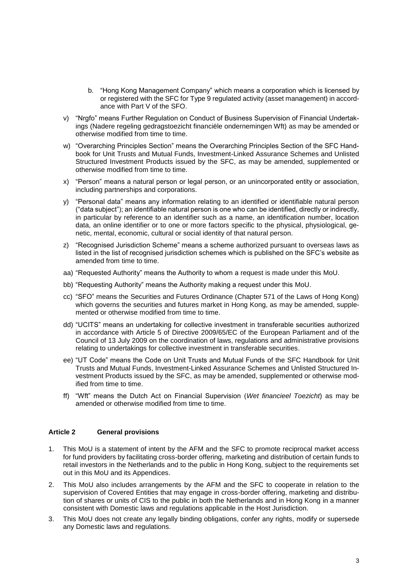- b. "Hong Kong Management Company" which means a corporation which is licensed by or registered with the SFC for Type 9 regulated activity (asset management) in accordance with Part V of the SFO.
- v) "Nrgfo" means Further Regulation on Conduct of Business Supervision of Financial Undertakings (Nadere regeling gedragstoezicht financiële ondernemingen Wft) as may be amended or otherwise modified from time to time.
- w) "Overarching Principles Section" means the Overarching Principles Section of the SFC Handbook for Unit Trusts and Mutual Funds, Investment-Linked Assurance Schemes and Unlisted Structured Investment Products issued by the SFC, as may be amended, supplemented or otherwise modified from time to time.
- x) "Person" means a natural person or legal person, or an unincorporated entity or association, including partnerships and corporations.
- y) "Personal data" means any information relating to an identified or identifiable natural person ("data subject"); an identifiable natural person is one who can be identified, directly or indirectly, in particular by reference to an identifier such as a name, an identification number, location data, an online identifier or to one or more factors specific to the physical, physiological, genetic, mental, economic, cultural or social identity of that natural person.
- z) "Recognised Jurisdiction Scheme" means a scheme authorized pursuant to overseas laws as listed in the list of recognised jurisdiction schemes which is published on the SFC's website as amended from time to time.
- aa) "Requested Authority" means the Authority to whom a request is made under this MoU.
- bb) "Requesting Authority" means the Authority making a request under this MoU.
- cc) "SFO" means the Securities and Futures Ordinance (Chapter 571 of the Laws of Hong Kong) which governs the securities and futures market in Hong Kong, as may be amended, supplemented or otherwise modified from time to time.
- dd) "UCITS" means an undertaking for collective investment in transferable securities authorized in accordance with Article 5 of Directive 2009/65/EC of the European Parliament and of the Council of 13 July 2009 on the coordination of laws, regulations and administrative provisions relating to undertakings for collective investment in transferable securities.
- ee) "UT Code" means the Code on Unit Trusts and Mutual Funds of the SFC Handbook for Unit Trusts and Mutual Funds, Investment-Linked Assurance Schemes and Unlisted Structured Investment Products issued by the SFC, as may be amended, supplemented or otherwise modified from time to time.
- ff) "Wft" means the Dutch Act on Financial Supervision (*Wet financieel Toezicht*) as may be amended or otherwise modified from time to time.

### **Article 2 General provisions**

- 1. This MoU is a statement of intent by the AFM and the SFC to promote reciprocal market access for fund providers by facilitating cross-border offering, marketing and distribution of certain funds to retail investors in the Netherlands and to the public in Hong Kong, subject to the requirements set out in this MoU and its Appendices.
- 2. This MoU also includes arrangements by the AFM and the SFC to cooperate in relation to the supervision of Covered Entities that may engage in cross-border offering, marketing and distribution of shares or units of CIS to the public in both the Netherlands and in Hong Kong in a manner consistent with Domestic laws and regulations applicable in the Host Jurisdiction.
- 3. This MoU does not create any legally binding obligations, confer any rights, modify or supersede any Domestic laws and regulations.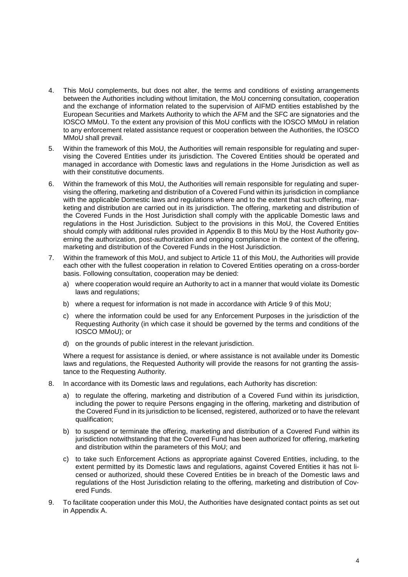- 4. This MoU complements, but does not alter, the terms and conditions of existing arrangements between the Authorities including without limitation, the MoU concerning consultation, cooperation and the exchange of information related to the supervision of AIFMD entities established by the European Securities and Markets Authority to which the AFM and the SFC are signatories and the IOSCO MMoU. To the extent any provision of this MoU conflicts with the IOSCO MMoU in relation to any enforcement related assistance request or cooperation between the Authorities, the IOSCO MMoU shall prevail.
- 5. Within the framework of this MoU, the Authorities will remain responsible for regulating and supervising the Covered Entities under its jurisdiction. The Covered Entities should be operated and managed in accordance with Domestic laws and regulations in the Home Jurisdiction as well as with their constitutive documents.
- 6. Within the framework of this MoU, the Authorities will remain responsible for regulating and supervising the offering, marketing and distribution of a Covered Fund within its jurisdiction in compliance with the applicable Domestic laws and regulations where and to the extent that such offering, marketing and distribution are carried out in its jurisdiction. The offering, marketing and distribution of the Covered Funds in the Host Jurisdiction shall comply with the applicable Domestic laws and regulations in the Host Jurisdiction. Subject to the provisions in this MoU, the Covered Entities should comply with additional rules provided in Appendix B to this MoU by the Host Authority governing the authorization, post-authorization and ongoing compliance in the context of the offering, marketing and distribution of the Covered Funds in the Host Jurisdiction.
- 7. Within the framework of this MoU, and subject to Article 11 of this MoU, the Authorities will provide each other with the fullest cooperation in relation to Covered Entities operating on a cross-border basis. Following consultation, cooperation may be denied:
	- a) where cooperation would require an Authority to act in a manner that would violate its Domestic laws and regulations;
	- b) where a request for information is not made in accordance with Article 9 of this MoU;
	- c) where the information could be used for any Enforcement Purposes in the jurisdiction of the Requesting Authority (in which case it should be governed by the terms and conditions of the IOSCO MMoU); or
	- d) on the grounds of public interest in the relevant jurisdiction.

Where a request for assistance is denied, or where assistance is not available under its Domestic laws and regulations, the Requested Authority will provide the reasons for not granting the assistance to the Requesting Authority.

- 8. In accordance with its Domestic laws and regulations, each Authority has discretion:
	- a) to regulate the offering, marketing and distribution of a Covered Fund within its jurisdiction, including the power to require Persons engaging in the offering, marketing and distribution of the Covered Fund in its jurisdiction to be licensed, registered, authorized or to have the relevant qualification;
	- b) to suspend or terminate the offering, marketing and distribution of a Covered Fund within its jurisdiction notwithstanding that the Covered Fund has been authorized for offering, marketing and distribution within the parameters of this MoU; and
	- c) to take such Enforcement Actions as appropriate against Covered Entities, including, to the extent permitted by its Domestic laws and regulations, against Covered Entities it has not licensed or authorized, should these Covered Entities be in breach of the Domestic laws and regulations of the Host Jurisdiction relating to the offering, marketing and distribution of Covered Funds.
- 9. To facilitate cooperation under this MoU, the Authorities have designated contact points as set out in Appendix A.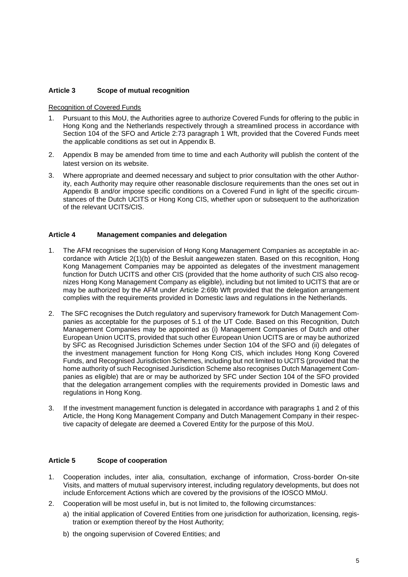### **Article 3 Scope of mutual recognition**

#### Recognition of Covered Funds

- 1. Pursuant to this MoU, the Authorities agree to authorize Covered Funds for offering to the public in Hong Kong and the Netherlands respectively through a streamlined process in accordance with Section 104 of the SFO and Article 2:73 paragraph 1 Wft, provided that the Covered Funds meet the applicable conditions as set out in Appendix B.
- 2. Appendix B may be amended from time to time and each Authority will publish the content of the latest version on its website.
- 3. Where appropriate and deemed necessary and subject to prior consultation with the other Authority, each Authority may require other reasonable disclosure requirements than the ones set out in Appendix B and/or impose specific conditions on a Covered Fund in light of the specific circumstances of the Dutch UCITS or Hong Kong CIS, whether upon or subsequent to the authorization of the relevant UCITS/CIS.

### **Article 4 Management companies and delegation**

- 1. The AFM recognises the supervision of Hong Kong Management Companies as acceptable in accordance with Article 2(1)(b) of the Besluit aangewezen staten. Based on this recognition, Hong Kong Management Companies may be appointed as delegates of the investment management function for Dutch UCITS and other CIS (provided that the home authority of such CIS also recognizes Hong Kong Management Company as eligible), including but not limited to UCITS that are or may be authorized by the AFM under Article 2:69b Wft provided that the delegation arrangement complies with the requirements provided in Domestic laws and regulations in the Netherlands.
- 2. The SFC recognises the Dutch regulatory and supervisory framework for Dutch Management Companies as acceptable for the purposes of 5.1 of the UT Code. Based on this Recognition, Dutch Management Companies may be appointed as (i) Management Companies of Dutch and other European Union UCITS, provided that such other European Union UCITS are or may be authorized by SFC as Recognised Jurisdiction Schemes under Section 104 of the SFO and (ii) delegates of the investment management function for Hong Kong CIS, which includes Hong Kong Covered Funds, and Recognised Jurisdiction Schemes, including but not limited to UCITS (provided that the home authority of such Recognised Jurisdiction Scheme also recognises Dutch Management Companies as eligible) that are or may be authorized by SFC under Section 104 of the SFO provided that the delegation arrangement complies with the requirements provided in Domestic laws and regulations in Hong Kong.
- 3. If the investment management function is delegated in accordance with paragraphs 1 and 2 of this Article, the Hong Kong Management Company and Dutch Management Company in their respective capacity of delegate are deemed a Covered Entity for the purpose of this MoU.

### **Article 5 Scope of cooperation**

- 1. Cooperation includes, inter alia, consultation, exchange of information, Cross-border On-site Visits, and matters of mutual supervisory interest, including regulatory developments, but does not include Enforcement Actions which are covered by the provisions of the IOSCO MMoU.
- 2. Cooperation will be most useful in, but is not limited to, the following circumstances:
	- a) the initial application of Covered Entities from one jurisdiction for authorization, licensing, registration or exemption thereof by the Host Authority;
	- b) the ongoing supervision of Covered Entities; and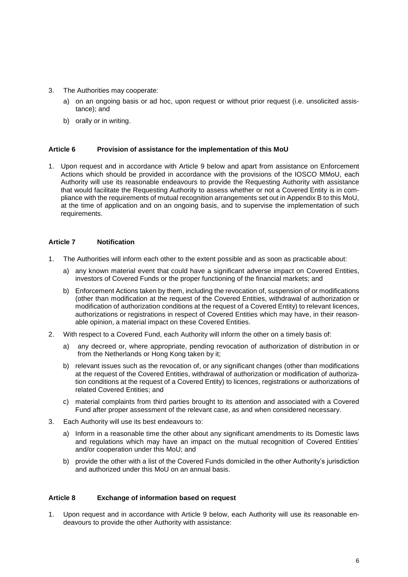- 3. The Authorities may cooperate:
	- a) on an ongoing basis or ad hoc, upon request or without prior request (i.e. unsolicited assistance); and
	- b) orally or in writing.

#### **Article 6 Provision of assistance for the implementation of this MoU**

1. Upon request and in accordance with Article 9 below and apart from assistance on Enforcement Actions which should be provided in accordance with the provisions of the IOSCO MMoU, each Authority will use its reasonable endeavours to provide the Requesting Authority with assistance that would facilitate the Requesting Authority to assess whether or not a Covered Entity is in compliance with the requirements of mutual recognition arrangements set out in Appendix B to this MoU, at the time of application and on an ongoing basis, and to supervise the implementation of such requirements.

#### **Article 7 Notification**

- 1. The Authorities will inform each other to the extent possible and as soon as practicable about:
	- a) any known material event that could have a significant adverse impact on Covered Entities, investors of Covered Funds or the proper functioning of the financial markets; and
	- b) Enforcement Actions taken by them, including the revocation of, suspension of or modifications (other than modification at the request of the Covered Entities, withdrawal of authorization or modification of authorization conditions at the request of a Covered Entity) to relevant licences, authorizations or registrations in respect of Covered Entities which may have, in their reasonable opinion, a material impact on these Covered Entities.
- 2. With respect to a Covered Fund, each Authority will inform the other on a timely basis of:
	- a) any decreed or, where appropriate, pending revocation of authorization of distribution in or from the Netherlands or Hong Kong taken by it;
	- b) relevant issues such as the revocation of, or any significant changes (other than modifications at the request of the Covered Entities, withdrawal of authorization or modification of authorization conditions at the request of a Covered Entity) to licences, registrations or authorizations of related Covered Entities; and
	- c) material complaints from third parties brought to its attention and associated with a Covered Fund after proper assessment of the relevant case, as and when considered necessary.
- 3. Each Authority will use its best endeavours to:
	- a) Inform in a reasonable time the other about any significant amendments to its Domestic laws and regulations which may have an impact on the mutual recognition of Covered Entities' and/or cooperation under this MoU; and
	- b) provide the other with a list of the Covered Funds domiciled in the other Authority's jurisdiction and authorized under this MoU on an annual basis.

### **Article 8 Exchange of information based on request**

1. Upon request and in accordance with Article 9 below, each Authority will use its reasonable endeavours to provide the other Authority with assistance: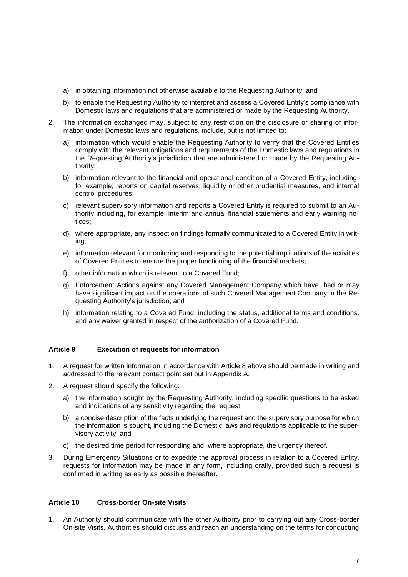- a) in obtaining information not otherwise available to the Requesting Authority; and
- b) to enable the Requesting Authority to interpret and assess a Covered Entity's compliance with Domestic laws and regulations that are administered or made by the Requesting Authority.
- 2. The information exchanged may, subject to any restriction on the disclosure or sharing of information under Domestic laws and regulations, include, but is not limited to:
	- a) information which would enable the Requesting Authority to verify that the Covered Entities comply with the relevant obligations and requirements of the Domestic laws and regulations in the Requesting Authority's jurisdiction that are administered or made by the Requesting Authority;
	- b) information relevant to the financial and operational condition of a Covered Entity, including, for example, reports on capital reserves, liquidity or other prudential measures, and internal control procedures;
	- c) relevant supervisory information and reports a Covered Entity is required to submit to an Authority including, for example: interim and annual financial statements and early warning notices;
	- d) where appropriate, any inspection findings formally communicated to a Covered Entity in writing;
	- e) information relevant for monitoring and responding to the potential implications of the activities of Covered Entities to ensure the proper functioning of the financial markets;
	- f) other information which is relevant to a Covered Fund;
	- g) Enforcement Actions against any Covered Management Company which have, had or may have significant impact on the operations of such Covered Management Company in the Requesting Authority's jurisdiction; and
	- h) information relating to a Covered Fund, including the status, additional terms and conditions, and any waiver granted in respect of the authorization of a Covered Fund.

#### **Article 9 Execution of requests for information**

- 1. A request for written information in accordance with Article 8 above should be made in writing and addressed to the relevant contact point set out in Appendix A.
- 2. A request should specify the following:
	- a) the information sought by the Requesting Authority, including specific questions to be asked and indications of any sensitivity regarding the request;
	- b) a concise description of the facts underlying the request and the supervisory purpose for which the information is sought, including the Domestic laws and regulations applicable to the supervisory activity; and
	- c) the desired time period for responding and, where appropriate, the urgency thereof.
- 3. During Emergency Situations or to expedite the approval process in relation to a Covered Entity, requests for information may be made in any form, including orally, provided such a request is confirmed in writing as early as possible thereafter.

#### **Article 10 Cross-border On-site Visits**

1. An Authority should communicate with the other Authority prior to carrying out any Cross-border On-site Visits. Authorities should discuss and reach an understanding on the terms for conducting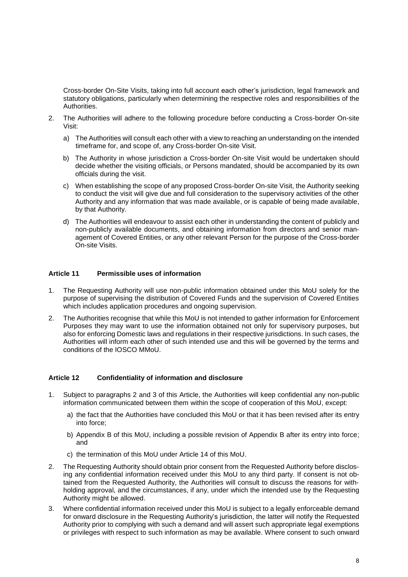Cross-border On-Site Visits, taking into full account each other's jurisdiction, legal framework and statutory obligations, particularly when determining the respective roles and responsibilities of the Authorities.

- 2. The Authorities will adhere to the following procedure before conducting a Cross-border On-site Visit:
	- a) The Authorities will consult each other with a view to reaching an understanding on the intended timeframe for, and scope of, any Cross-border On-site Visit.
	- b) The Authority in whose jurisdiction a Cross-border On-site Visit would be undertaken should decide whether the visiting officials, or Persons mandated, should be accompanied by its own officials during the visit.
	- c) When establishing the scope of any proposed Cross-border On-site Visit, the Authority seeking to conduct the visit will give due and full consideration to the supervisory activities of the other Authority and any information that was made available, or is capable of being made available, by that Authority.
	- d) The Authorities will endeavour to assist each other in understanding the content of publicly and non-publicly available documents, and obtaining information from directors and senior management of Covered Entities, or any other relevant Person for the purpose of the Cross-border On-site Visits.

### **Article 11 Permissible uses of information**

- 1. The Requesting Authority will use non-public information obtained under this MoU solely for the purpose of supervising the distribution of Covered Funds and the supervision of Covered Entities which includes application procedures and ongoing supervision.
- 2. The Authorities recognise that while this MoU is not intended to gather information for Enforcement Purposes they may want to use the information obtained not only for supervisory purposes, but also for enforcing Domestic laws and regulations in their respective jurisdictions. In such cases, the Authorities will inform each other of such intended use and this will be governed by the terms and conditions of the IOSCO MMoU.

#### **Article 12 Confidentiality of information and disclosure**

- 1. Subject to paragraphs 2 and 3 of this Article, the Authorities will keep confidential any non-public information communicated between them within the scope of cooperation of this MoU, except:
	- a) the fact that the Authorities have concluded this MoU or that it has been revised after its entry into force;
	- b) Appendix B of this MoU, including a possible revision of Appendix B after its entry into force; and
	- c) the termination of this MoU under Article 14 of this MoU.
- 2. The Requesting Authority should obtain prior consent from the Requested Authority before disclosing any confidential information received under this MoU to any third party. If consent is not obtained from the Requested Authority, the Authorities will consult to discuss the reasons for withholding approval, and the circumstances, if any, under which the intended use by the Requesting Authority might be allowed.
- 3. Where confidential information received under this MoU is subject to a legally enforceable demand for onward disclosure in the Requesting Authority's jurisdiction, the latter will notify the Requested Authority prior to complying with such a demand and will assert such appropriate legal exemptions or privileges with respect to such information as may be available. Where consent to such onward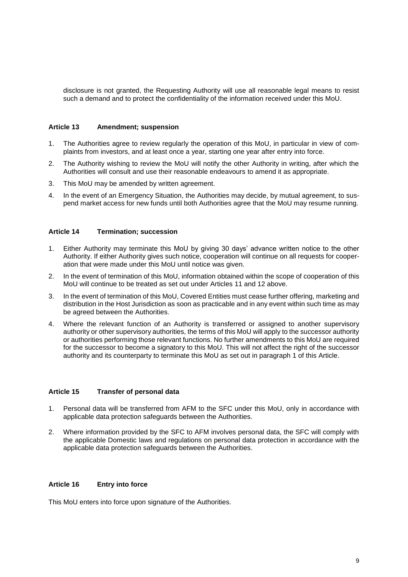disclosure is not granted, the Requesting Authority will use all reasonable legal means to resist such a demand and to protect the confidentiality of the information received under this MoU.

#### **Article 13 Amendment; suspension**

- 1. The Authorities agree to review regularly the operation of this MoU, in particular in view of complaints from investors, and at least once a year, starting one year after entry into force.
- 2. The Authority wishing to review the MoU will notify the other Authority in writing, after which the Authorities will consult and use their reasonable endeavours to amend it as appropriate.
- 3. This MoU may be amended by written agreement.
- 4. In the event of an Emergency Situation, the Authorities may decide, by mutual agreement, to suspend market access for new funds until both Authorities agree that the MoU may resume running.

#### **Article 14 Termination; succession**

- 1. Either Authority may terminate this MoU by giving 30 days' advance written notice to the other Authority. If either Authority gives such notice, cooperation will continue on all requests for cooperation that were made under this MoU until notice was given.
- 2. In the event of termination of this MoU, information obtained within the scope of cooperation of this MoU will continue to be treated as set out under Articles 11 and 12 above.
- 3. In the event of termination of this MoU, Covered Entities must cease further offering, marketing and distribution in the Host Jurisdiction as soon as practicable and in any event within such time as may be agreed between the Authorities.
- 4. Where the relevant function of an Authority is transferred or assigned to another supervisory authority or other supervisory authorities, the terms of this MoU will apply to the successor authority or authorities performing those relevant functions. No further amendments to this MoU are required for the successor to become a signatory to this MoU. This will not affect the right of the successor authority and its counterparty to terminate this MoU as set out in paragraph 1 of this Article.

#### **Article 15 Transfer of personal data**

- 1. Personal data will be transferred from AFM to the SFC under this MoU, only in accordance with applicable data protection safeguards between the Authorities.
- 2. Where information provided by the SFC to AFM involves personal data, the SFC will comply with the applicable Domestic laws and regulations on personal data protection in accordance with the applicable data protection safeguards between the Authorities.

### **Article 16 Entry into force**

This MoU enters into force upon signature of the Authorities.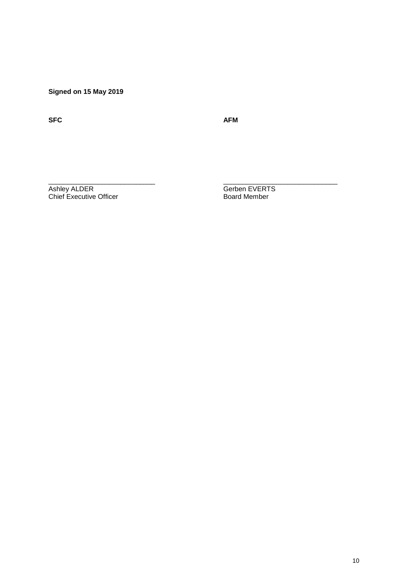**Signed on 15 May 2019**

**SFC AFM**

 $\frac{1}{2}$  ,  $\frac{1}{2}$  ,  $\frac{1}{2}$  ,  $\frac{1}{2}$  ,  $\frac{1}{2}$  ,  $\frac{1}{2}$  ,  $\frac{1}{2}$  ,  $\frac{1}{2}$  ,  $\frac{1}{2}$  ,  $\frac{1}{2}$  ,  $\frac{1}{2}$  ,  $\frac{1}{2}$  ,  $\frac{1}{2}$  ,  $\frac{1}{2}$  ,  $\frac{1}{2}$  ,  $\frac{1}{2}$  ,  $\frac{1}{2}$  ,  $\frac{1}{2}$  ,  $\frac{1$ 

Ashley ALDER Gerben EVERTS Chief Executive Officer **Board Member** Board Member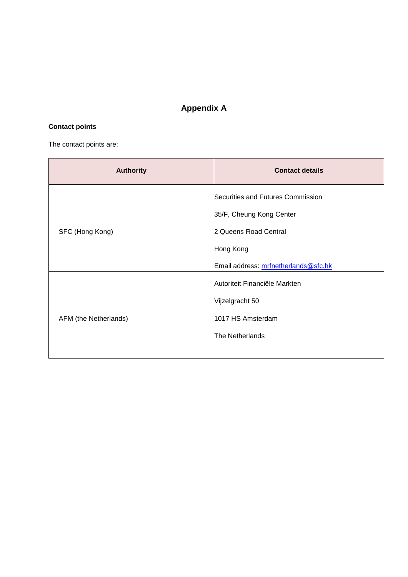# **Appendix A**

# **Contact points**

The contact points are:

| <b>Authority</b>      | <b>Contact details</b>               |
|-----------------------|--------------------------------------|
| SFC (Hong Kong)       | Securities and Futures Commission    |
|                       | 35/F, Cheung Kong Center             |
|                       | 2 Queens Road Central                |
|                       | Hong Kong                            |
|                       | Email address: mrfnetherlands@sfc.hk |
| AFM (the Netherlands) | Autoriteit Financiële Markten        |
|                       | Vijzelgracht 50                      |
|                       | 1017 HS Amsterdam                    |
|                       | The Netherlands                      |
|                       |                                      |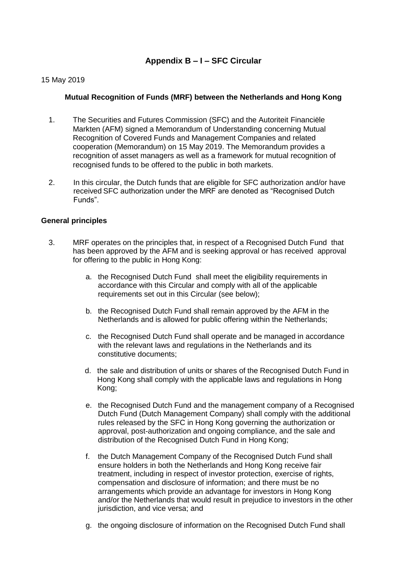# **Appendix B – I – SFC Circular**

### 15 May 2019

### **Mutual Recognition of Funds (MRF) between the Netherlands and Hong Kong**

- 1. The Securities and Futures Commission (SFC) and the Autoriteit Financiële Markten (AFM) signed a Memorandum of Understanding concerning Mutual Recognition of Covered Funds and Management Companies and related cooperation (Memorandum) on 15 May 2019. The Memorandum provides a recognition of asset managers as well as a framework for mutual recognition of recognised funds to be offered to the public in both markets.
- 2. In this circular, the Dutch funds that are eligible for SFC authorization and/or have received SFC authorization under the MRF are denoted as "Recognised Dutch Funds".

### **General principles**

- 3. MRF operates on the principles that, in respect of a Recognised Dutch Fund that has been approved by the AFM and is seeking approval or has received approval for offering to the public in Hong Kong:
	- a. the Recognised Dutch Fund shall meet the eligibility requirements in accordance with this Circular and comply with all of the applicable requirements set out in this Circular (see below);
	- b. the Recognised Dutch Fund shall remain approved by the AFM in the Netherlands and is allowed for public offering within the Netherlands;
	- c. the Recognised Dutch Fund shall operate and be managed in accordance with the relevant laws and regulations in the Netherlands and its constitutive documents;
	- d. the sale and distribution of units or shares of the Recognised Dutch Fund in Hong Kong shall comply with the applicable laws and regulations in Hong Kong;
	- e. the Recognised Dutch Fund and the management company of a Recognised Dutch Fund (Dutch Management Company) shall comply with the additional rules released by the SFC in Hong Kong governing the authorization or approval, post-authorization and ongoing compliance, and the sale and distribution of the Recognised Dutch Fund in Hong Kong;
	- f. the Dutch Management Company of the Recognised Dutch Fund shall ensure holders in both the Netherlands and Hong Kong receive fair treatment, including in respect of investor protection, exercise of rights, compensation and disclosure of information; and there must be no arrangements which provide an advantage for investors in Hong Kong and/or the Netherlands that would result in prejudice to investors in the other jurisdiction, and vice versa; and
	- g. the ongoing disclosure of information on the Recognised Dutch Fund shall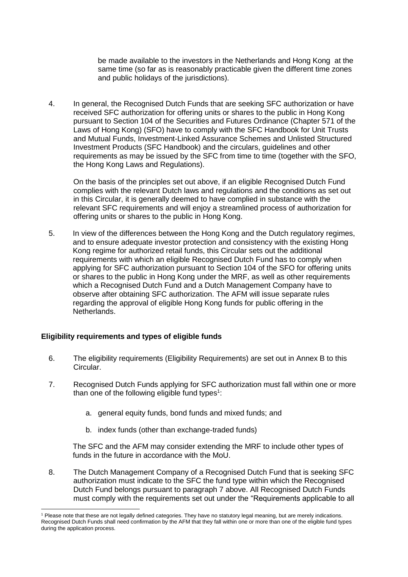be made available to the investors in the Netherlands and Hong Kong at the same time (so far as is reasonably practicable given the different time zones and public holidays of the jurisdictions).

4. In general, the Recognised Dutch Funds that are seeking SFC authorization or have received SFC authorization for offering units or shares to the public in Hong Kong pursuant to Section 104 of the Securities and Futures Ordinance (Chapter 571 of the Laws of Hong Kong) (SFO) have to comply with the SFC Handbook for Unit Trusts and Mutual Funds, Investment-Linked Assurance Schemes and Unlisted Structured Investment Products (SFC Handbook) and the circulars, guidelines and other requirements as may be issued by the SFC from time to time (together with the SFO, the Hong Kong Laws and Regulations).

On the basis of the principles set out above, if an eligible Recognised Dutch Fund complies with the relevant Dutch laws and regulations and the conditions as set out in this Circular, it is generally deemed to have complied in substance with the relevant SFC requirements and will enjoy a streamlined process of authorization for offering units or shares to the public in Hong Kong.

5. In view of the differences between the Hong Kong and the Dutch regulatory regimes, and to ensure adequate investor protection and consistency with the existing Hong Kong regime for authorized retail funds, this Circular sets out the additional requirements with which an eligible Recognised Dutch Fund has to comply when applying for SFC authorization pursuant to Section 104 of the SFO for offering units or shares to the public in Hong Kong under the MRF, as well as other requirements which a Recognised Dutch Fund and a Dutch Management Company have to observe after obtaining SFC authorization. The AFM will issue separate rules regarding the approval of eligible Hong Kong funds for public offering in the Netherlands.

### **Eligibility requirements and types of eligible funds**

- 6. The eligibility requirements (Eligibility Requirements) are set out in Annex B to this Circular.
- 7. Recognised Dutch Funds applying for SFC authorization must fall within one or more than one of the following eligible fund types<sup>1</sup>:
	- a. general equity funds, bond funds and mixed funds; and
	- b. index funds (other than exchange-traded funds)

The SFC and the AFM may consider extending the MRF to include other types of funds in the future in accordance with the MoU.

8. The Dutch Management Company of a Recognised Dutch Fund that is seeking SFC authorization must indicate to the SFC the fund type within which the Recognised Dutch Fund belongs pursuant to paragraph 7 above. All Recognised Dutch Funds must comply with the requirements set out under the "Requirements applicable to all

 <sup>1</sup> Please note that these are not legally defined categories. They have no statutory legal meaning, but are merely indications. Recognised Dutch Funds shall need confirmation by the AFM that they fall within one or more than one of the eligible fund types during the application process.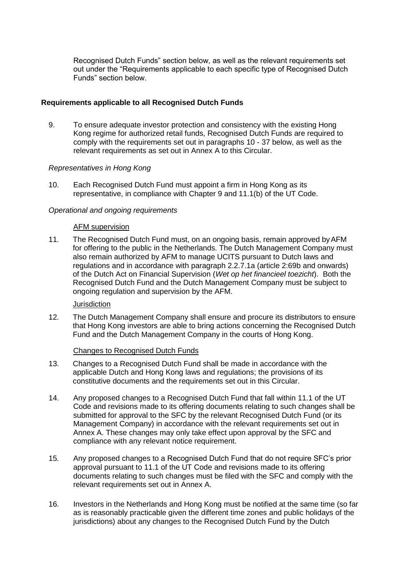Recognised Dutch Funds" section below, as well as the relevant requirements set out under the "Requirements applicable to each specific type of Recognised Dutch Funds" section below.

### **Requirements applicable to all Recognised Dutch Funds**

9. To ensure adequate investor protection and consistency with the existing Hong Kong regime for authorized retail funds, Recognised Dutch Funds are required to comply with the requirements set out in paragraphs 10 - 37 below, as well as the relevant requirements as set out in Annex A to this Circular.

### *Representatives in Hong Kong*

10. Each Recognised Dutch Fund must appoint a firm in Hong Kong as its representative, in compliance with Chapter 9 and 11.1(b) of the UT Code.

### *Operational and ongoing requirements*

### AFM supervision

11. The Recognised Dutch Fund must, on an ongoing basis, remain approved byAFM for offering to the public in the Netherlands. The Dutch Management Company must also remain authorized by AFM to manage UCITS pursuant to Dutch laws and regulations and in accordance with paragraph 2.2.7.1a (article 2:69b and onwards) of the Dutch Act on Financial Supervision (*Wet op het financieel toezicht*). Both the Recognised Dutch Fund and the Dutch Management Company must be subject to ongoing regulation and supervision by the AFM.

### **Jurisdiction**

12. The Dutch Management Company shall ensure and procure its distributors to ensure that Hong Kong investors are able to bring actions concerning the Recognised Dutch Fund and the Dutch Management Company in the courts of Hong Kong.

### Changes to Recognised Dutch Funds

- 13. Changes to a Recognised Dutch Fund shall be made in accordance with the applicable Dutch and Hong Kong laws and regulations; the provisions of its constitutive documents and the requirements set out in this Circular.
- 14. Any proposed changes to a Recognised Dutch Fund that fall within 11.1 of the UT Code and revisions made to its offering documents relating to such changes shall be submitted for approval to the SFC by the relevant Recognised Dutch Fund (or its Management Company) in accordance with the relevant requirements set out in Annex A. These changes may only take effect upon approval by the SFC and compliance with any relevant notice requirement.
- 15. Any proposed changes to a Recognised Dutch Fund that do not require SFC's prior approval pursuant to 11.1 of the UT Code and revisions made to its offering documents relating to such changes must be filed with the SFC and comply with the relevant requirements set out in Annex A.
- 16. Investors in the Netherlands and Hong Kong must be notified at the same time (so far as is reasonably practicable given the different time zones and public holidays of the jurisdictions) about any changes to the Recognised Dutch Fund by the Dutch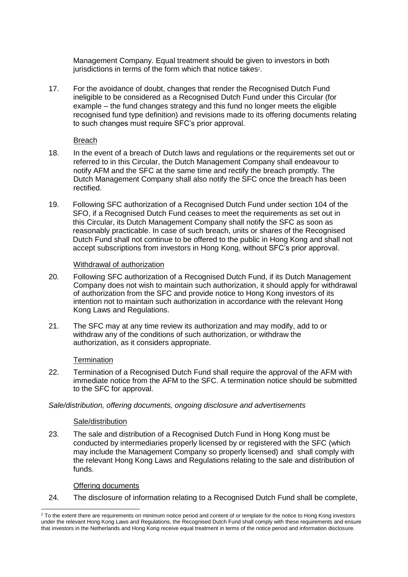Management Company. Equal treatment should be given to investors in both jurisdictions in terms of the form which that notice takes $^{\text{2}}$ .

17. For the avoidance of doubt, changes that render the Recognised Dutch Fund ineligible to be considered as a Recognised Dutch Fund under this Circular (for example – the fund changes strategy and this fund no longer meets the eligible recognised fund type definition) and revisions made to its offering documents relating to such changes must require SFC's prior approval.

### Breach

- 18. In the event of a breach of Dutch laws and regulations or the requirements set out or referred to in this Circular, the Dutch Management Company shall endeavour to notify AFM and the SFC at the same time and rectify the breach promptly. The Dutch Management Company shall also notify the SFC once the breach has been rectified.
- 19. Following SFC authorization of a Recognised Dutch Fund under section 104 of the SFO, if a Recognised Dutch Fund ceases to meet the requirements as set out in this Circular, its Dutch Management Company shall notify the SFC as soon as reasonably practicable. In case of such breach, units or shares of the Recognised Dutch Fund shall not continue to be offered to the public in Hong Kong and shall not accept subscriptions from investors in Hong Kong, without SFC's prior approval.

### Withdrawal of authorization

- 20. Following SFC authorization of a Recognised Dutch Fund, if its Dutch Management Company does not wish to maintain such authorization, it should apply for withdrawal of authorization from the SFC and provide notice to Hong Kong investors of its intention not to maintain such authorization in accordance with the relevant Hong Kong Laws and Regulations.
- 21. The SFC may at any time review its authorization and may modify, add to or withdraw any of the conditions of such authorization, or withdraw the authorization, as it considers appropriate.

### **Termination**

22. Termination of a Recognised Dutch Fund shall require the approval of the AFM with immediate notice from the AFM to the SFC. A termination notice should be submitted to the SFC for approval.

### *Sale/distribution, offering documents, ongoing disclosure and advertisements*

### Sale/distribution

23. The sale and distribution of a Recognised Dutch Fund in Hong Kong must be conducted by intermediaries properly licensed by or registered with the SFC (which may include the Management Company so properly licensed) and shall comply with the relevant Hong Kong Laws and Regulations relating to the sale and distribution of funds.

### Offering documents

24. The disclosure of information relating to a Recognised Dutch Fund shall be complete,

 <sup>2</sup> To the extent there are requirements on minimum notice period and content of or template for the notice to Hong Kong investors under the relevant Hong Kong Laws and Regulations, the Recognised Dutch Fund shall comply with these requirements and ensure that investors in the Netherlands and Hong Kong receive equal treatment in terms of the notice period and information disclosure.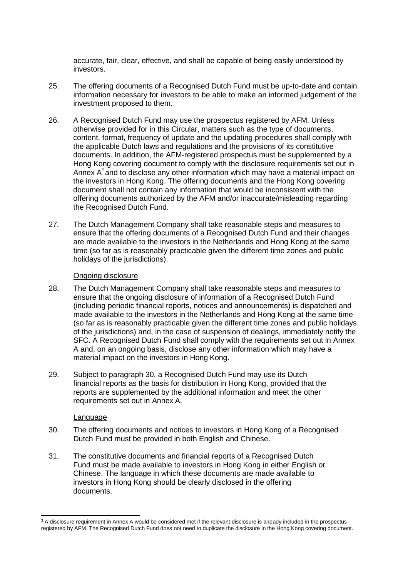accurate, fair, clear, effective, and shall be capable of being easily understood by investors.

- 25. The offering documents of a Recognised Dutch Fund must be up-to-date and contain information necessary for investors to be able to make an informed judgement of the investment proposed to them.
- 26. A Recognised Dutch Fund may use the prospectus registered by AFM. Unless otherwise provided for in this Circular, matters such as the type of documents, content, format, frequency of update and the updating procedures shall comply with the applicable Dutch laws and regulations and the provisions of its constitutive documents. In addition, the AFM-registered prospectus must be supplemented by a Hong Kong covering document to comply with the disclosure requirements set out in Annex A<sup>3</sup> and to disclose any other information which may have a material impact on the investors in Hong Kong. The offering documents and the Hong Kong covering document shall not contain any information that would be inconsistent with the offering documents authorized by the AFM and/or inaccurate/misleading regarding the Recognised Dutch Fund.
- 27. The Dutch Management Company shall take reasonable steps and measures to ensure that the offering documents of a Recognised Dutch Fund and their changes are made available to the investors in the Netherlands and Hong Kong at the same time (so far as is reasonably practicable given the different time zones and public holidays of the jurisdictions).

### Ongoing disclosure

- 28. The Dutch Management Company shall take reasonable steps and measures to ensure that the ongoing disclosure of information of a Recognised Dutch Fund (including periodic financial reports, notices and announcements) is dispatched and made available to the investors in the Netherlands and Hong Kong at the same time (so far as is reasonably practicable given the different time zones and public holidays of the jurisdictions) and, in the case of suspension of dealings, immediately notify the SFC. A Recognised Dutch Fund shall comply with the requirements set out in Annex A and, on an ongoing basis, disclose any other information which may have a material impact on the investors in Hong Kong.
- 29. Subject to paragraph 30, a Recognised Dutch Fund may use its Dutch financial reports as the basis for distribution in Hong Kong, provided that the reports are supplemented by the additional information and meet the other requirements set out in Annex A.

### **Language**

- 30. The offering documents and notices to investors in Hong Kong of a Recognised Dutch Fund must be provided in both English and Chinese.
- 31. The constitutive documents and financial reports of a Recognised Dutch Fund must be made available to investors in Hong Kong in either English or Chinese. The language in which these documents are made available to investors in Hong Kong should be clearly disclosed in the offering documents.

 $\overline{a}$ <sup>3</sup> A disclosure requirement in Annex A would be considered met if the relevant disclosure is already included in the prospectus registered by AFM. The Recognised Dutch Fund does not need to duplicate the disclosure in the Hong Kong covering document.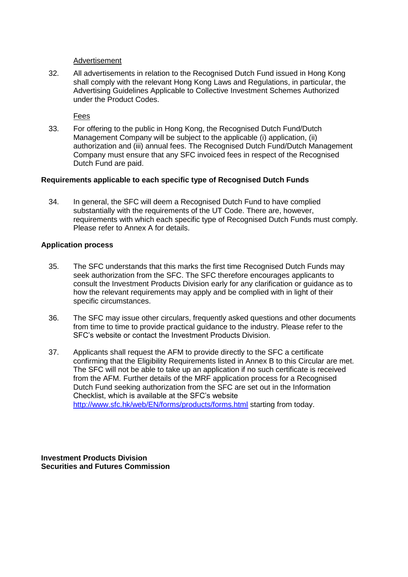### Advertisement

32. All advertisements in relation to the Recognised Dutch Fund issued in Hong Kong shall comply with the relevant Hong Kong Laws and Regulations, in particular, the Advertising Guidelines Applicable to Collective Investment Schemes Authorized under the Product Codes.

Fees

33. For offering to the public in Hong Kong, the Recognised Dutch Fund/Dutch Management Company will be subject to the applicable (i) application, (ii) authorization and (iii) annual fees. The Recognised Dutch Fund/Dutch Management Company must ensure that any SFC invoiced fees in respect of the Recognised Dutch Fund are paid.

### **Requirements applicable to each specific type of Recognised Dutch Funds**

34. In general, the SFC will deem a Recognised Dutch Fund to have complied substantially with the requirements of the UT Code. There are, however, requirements with which each specific type of Recognised Dutch Funds must comply. Please refer to Annex A for details.

### **Application process**

- 35. The SFC understands that this marks the first time Recognised Dutch Funds may seek authorization from the SFC. The SFC therefore encourages applicants to consult the Investment Products Division early for any clarification or guidance as to how the relevant requirements may apply and be complied with in light of their specific circumstances.
- 36. The SFC may issue other circulars, frequently asked questions and other documents from time to time to provide practical guidance to the industry. Please refer to the SFC's website or contact the Investment Products Division.
- 37. Applicants shall request the AFM to provide directly to the SFC a certificate confirming that the Eligibility Requirements listed in Annex B to this Circular are met. The SFC will not be able to take up an application if no such certificate is received from the AFM. Further details of the MRF application process for a Recognised Dutch Fund seeking authorization from the SFC are set out in the Information Checklist, which is available at the SFC's website <http://www.sfc.hk/web/EN/forms/products/forms.html> starting from today.

**Investment Products Division Securities and Futures Commission**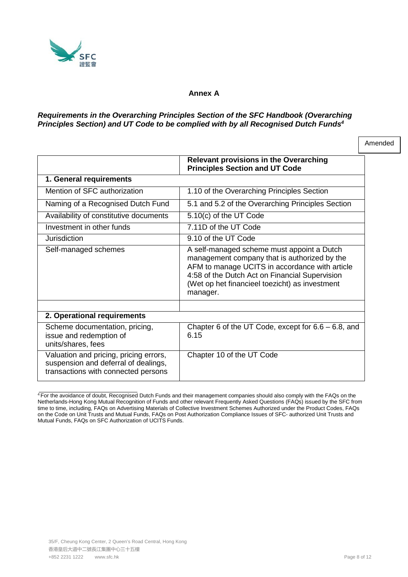<span id="page-17-0"></span>

### **Annex A**

### *Requirements in the Overarching Principles Section of the SFC Handbook (Overarching Principles Section) and UT Code to be complied with by all Recognised Dutch Fund[s4](#page-17-0)*

|                                                                                                                       | <b>Relevant provisions in the Overarching</b><br><b>Principles Section and UT Code</b>                                                                                                                                                                       |
|-----------------------------------------------------------------------------------------------------------------------|--------------------------------------------------------------------------------------------------------------------------------------------------------------------------------------------------------------------------------------------------------------|
| 1. General requirements                                                                                               |                                                                                                                                                                                                                                                              |
| Mention of SFC authorization                                                                                          | 1.10 of the Overarching Principles Section                                                                                                                                                                                                                   |
| Naming of a Recognised Dutch Fund                                                                                     | 5.1 and 5.2 of the Overarching Principles Section                                                                                                                                                                                                            |
| Availability of constitutive documents                                                                                | 5.10(c) of the UT Code                                                                                                                                                                                                                                       |
| Investment in other funds                                                                                             | 7.11D of the UT Code                                                                                                                                                                                                                                         |
| Jurisdiction                                                                                                          | 9.10 of the UT Code                                                                                                                                                                                                                                          |
| Self-managed schemes                                                                                                  | A self-managed scheme must appoint a Dutch<br>management company that is authorized by the<br>AFM to manage UCITS in accordance with article<br>4:58 of the Dutch Act on Financial Supervision<br>(Wet op het financieel toezicht) as investment<br>manager. |
|                                                                                                                       |                                                                                                                                                                                                                                                              |
| 2. Operational requirements                                                                                           |                                                                                                                                                                                                                                                              |
| Scheme documentation, pricing,<br>issue and redemption of<br>units/shares, fees                                       | Chapter 6 of the UT Code, except for $6.6 - 6.8$ , and<br>6.15                                                                                                                                                                                               |
| Valuation and pricing, pricing errors,<br>suspension and deferral of dealings,<br>transactions with connected persons | Chapter 10 of the UT Code                                                                                                                                                                                                                                    |

<sup>4</sup> For the avoidance of doubt, Recognised Dutch Funds and their management companies should also comply with the FAQs on the Netherlands-Hong Kong Mutual Recognition of Funds and other relevant Frequently Asked Questions (FAQs) issued by the SFC from time to time, including, FAQs on Advertising Materials of Collective Investment Schemes Authorized under the Product Codes, FAQs on the Code on Unit Trusts and Mutual Funds, FAQs on Post Authorization Compliance Issues of SFC- authorized Unit Trusts and Mutual Funds, FAQs on SFC Authorization of UCITS Funds.

Amended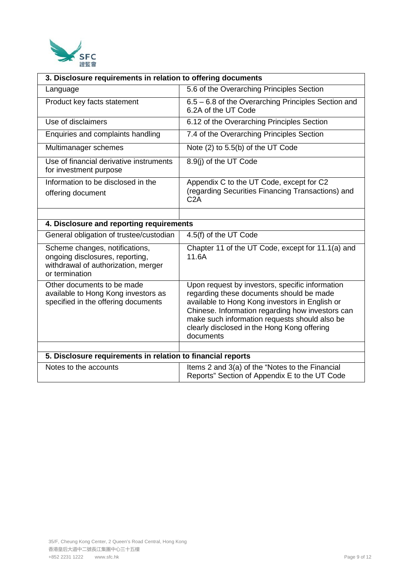

| 3. Disclosure requirements in relation to offering documents                                                               |                                                                                                                                                                                                                                                                                                                |  |
|----------------------------------------------------------------------------------------------------------------------------|----------------------------------------------------------------------------------------------------------------------------------------------------------------------------------------------------------------------------------------------------------------------------------------------------------------|--|
| Language                                                                                                                   | 5.6 of the Overarching Principles Section                                                                                                                                                                                                                                                                      |  |
| Product key facts statement                                                                                                | 6.5 – 6.8 of the Overarching Principles Section and<br>6.2A of the UT Code                                                                                                                                                                                                                                     |  |
| Use of disclaimers                                                                                                         | 6.12 of the Overarching Principles Section                                                                                                                                                                                                                                                                     |  |
| Enquiries and complaints handling                                                                                          | 7.4 of the Overarching Principles Section                                                                                                                                                                                                                                                                      |  |
| Multimanager schemes                                                                                                       | Note (2) to 5.5(b) of the UT Code                                                                                                                                                                                                                                                                              |  |
| Use of financial derivative instruments<br>for investment purpose                                                          | 8.9(j) of the UT Code                                                                                                                                                                                                                                                                                          |  |
| Information to be disclosed in the                                                                                         | Appendix C to the UT Code, except for C2                                                                                                                                                                                                                                                                       |  |
| offering document                                                                                                          | (regarding Securities Financing Transactions) and<br>C2A                                                                                                                                                                                                                                                       |  |
|                                                                                                                            |                                                                                                                                                                                                                                                                                                                |  |
| 4. Disclosure and reporting requirements                                                                                   |                                                                                                                                                                                                                                                                                                                |  |
| General obligation of trustee/custodian                                                                                    | 4.5(f) of the UT Code                                                                                                                                                                                                                                                                                          |  |
| Scheme changes, notifications,<br>ongoing disclosures, reporting,<br>withdrawal of authorization, merger<br>or termination | Chapter 11 of the UT Code, except for 11.1(a) and<br>11.6A                                                                                                                                                                                                                                                     |  |
| Other documents to be made<br>available to Hong Kong investors as<br>specified in the offering documents                   | Upon request by investors, specific information<br>regarding these documents should be made<br>available to Hong Kong investors in English or<br>Chinese. Information regarding how investors can<br>make such information requests should also be<br>clearly disclosed in the Hong Kong offering<br>documents |  |
| 5. Disclosure requirements in relation to financial reports                                                                |                                                                                                                                                                                                                                                                                                                |  |
| Notes to the accounts                                                                                                      | Items 2 and 3(a) of the "Notes to the Financial                                                                                                                                                                                                                                                                |  |
|                                                                                                                            | Reports" Section of Appendix E to the UT Code                                                                                                                                                                                                                                                                  |  |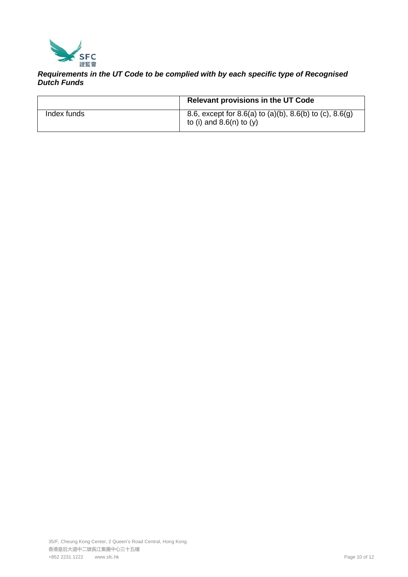

## *Requirements in the UT Code to be complied with by each specific type of Recognised Dutch Funds*

|             | Relevant provisions in the UT Code                                                    |
|-------------|---------------------------------------------------------------------------------------|
| Index funds | 8.6, except for 8.6(a) to (a)(b), 8.6(b) to (c), 8.6(g)<br>to (i) and $8.6(n)$ to (y) |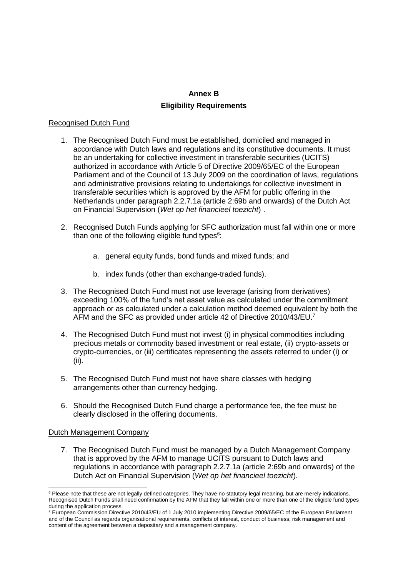## **Annex B Eligibility Requirements**

### Recognised Dutch Fund

- 1. The Recognised Dutch Fund must be established, domiciled and managed in accordance with Dutch laws and regulations and its constitutive documents. It must be an undertaking for collective investment in transferable securities (UCITS) authorized in accordance with Article 5 of Directive 2009/65/EC of the European Parliament and of the Council of 13 July 2009 on the coordination of laws, regulations and administrative provisions relating to undertakings for collective investment in transferable securities which is approved by the AFM for public offering in the Netherlands under paragraph 2.2.7.1a (article 2:69b and onwards) of the Dutch Act on Financial Supervision (*Wet op het financieel toezicht*) .
- 2. Recognised Dutch Funds applying for SFC authorization must fall within one or more than one of the following eligible fund types $6$ :
	- a. general equity funds, bond funds and mixed funds; and
	- b. index funds (other than exchange-traded funds).
- 3. The Recognised Dutch Fund must not use leverage (arising from derivatives) exceeding 100% of the fund's net asset value as calculated under the commitment approach or as calculated under a calculation method deemed equivalent by both the AFM and the SFC as provided under article 42 of Directive 2010/43/EU.<sup>7</sup>
- 4. The Recognised Dutch Fund must not invest (i) in physical commodities including precious metals or commodity based investment or real estate, (ii) crypto-assets or crypto-currencies, or (iii) certificates representing the assets referred to under (i) or (ii).
- 5. The Recognised Dutch Fund must not have share classes with hedging arrangements other than currency hedging.
- 6. Should the Recognised Dutch Fund charge a performance fee, the fee must be clearly disclosed in the offering documents.

### Dutch Management Company

7. The Recognised Dutch Fund must be managed by a Dutch Management Company that is approved by the AFM to manage UCITS pursuant to Dutch laws and regulations in accordance with paragraph 2.2.7.1a (article 2:69b and onwards) of the Dutch Act on Financial Supervision (*Wet op het financieel toezicht*).

<sup>&</sup>lt;sup>6</sup> Please note that these are not legally defined categories. They have no statutory legal meaning, but are merely indications. Recognised Dutch Funds shall need confirmation by the AFM that they fall within one or more than one of the eligible fund types during the application process.

<sup>&</sup>lt;sup>7</sup> European Commission Directive 2010/43/EU of 1 July 2010 implementing Directive 2009/65/EC of the European Parliament and of the Council as regards organisational requirements, conflicts of interest, conduct of business, risk management and content of the agreement between a depositary and a management company.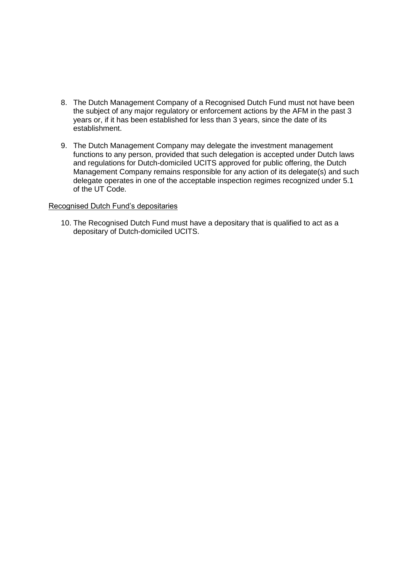- 8. The Dutch Management Company of a Recognised Dutch Fund must not have been the subject of any major regulatory or enforcement actions by the AFM in the past 3 years or, if it has been established for less than 3 years, since the date of its establishment.
- 9. The Dutch Management Company may delegate the investment management functions to any person, provided that such delegation is accepted under Dutch laws and regulations for Dutch-domiciled UCITS approved for public offering, the Dutch Management Company remains responsible for any action of its delegate(s) and such delegate operates in one of the acceptable inspection regimes recognized under 5.1 of the UT Code.

### Recognised Dutch Fund's depositaries

10. The Recognised Dutch Fund must have a depositary that is qualified to act as a depositary of Dutch-domiciled UCITS.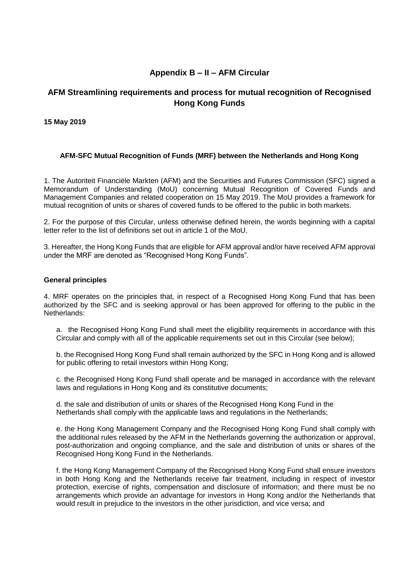# **Appendix B – II – AFM Circular**

# **AFM Streamlining requirements and process for mutual recognition of Recognised Hong Kong Funds**

### **15 May 2019**

### **AFM-SFC Mutual Recognition of Funds (MRF) between the Netherlands and Hong Kong**

1. The Autoriteit Financiële Markten (AFM) and the Securities and Futures Commission (SFC) signed a Memorandum of Understanding (MoU) concerning Mutual Recognition of Covered Funds and Management Companies and related cooperation on 15 May 2019. The MoU provides a framework for mutual recognition of units or shares of covered funds to be offered to the public in both markets.

2. For the purpose of this Circular, unless otherwise defined herein, the words beginning with a capital letter refer to the list of definitions set out in article 1 of the MoU.

3. Hereafter, the Hong Kong Funds that are eligible for AFM approval and/or have received AFM approval under the MRF are denoted as "Recognised Hong Kong Funds".

### **General principles**

4. MRF operates on the principles that, in respect of a Recognised Hong Kong Fund that has been authorized by the SFC and is seeking approval or has been approved for offering to the public in the Netherlands:

a. the Recognised Hong Kong Fund shall meet the eligibility requirements in accordance with this Circular and comply with all of the applicable requirements set out in this Circular (see below);

b. the Recognised Hong Kong Fund shall remain authorized by the SFC in Hong Kong and is allowed for public offering to retail investors within Hong Kong;

c. the Recognised Hong Kong Fund shall operate and be managed in accordance with the relevant laws and regulations in Hong Kong and its constitutive documents;

d. the sale and distribution of units or shares of the Recognised Hong Kong Fund in the Netherlands shall comply with the applicable laws and regulations in the Netherlands;

e. the Hong Kong Management Company and the Recognised Hong Kong Fund shall comply with the additional rules released by the AFM in the Netherlands governing the authorization or approval, post-authorization and ongoing compliance, and the sale and distribution of units or shares of the Recognised Hong Kong Fund in the Netherlands.

f. the Hong Kong Management Company of the Recognised Hong Kong Fund shall ensure investors in both Hong Kong and the Netherlands receive fair treatment, including in respect of investor protection, exercise of rights, compensation and disclosure of information; and there must be no arrangements which provide an advantage for investors in Hong Kong and/or the Netherlands that would result in prejudice to the investors in the other jurisdiction, and vice versa; and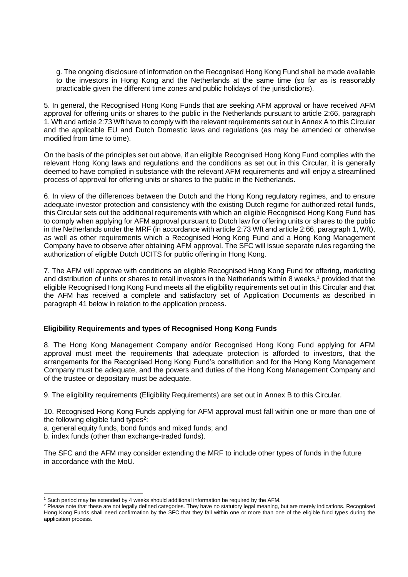g. The ongoing disclosure of information on the Recognised Hong Kong Fund shall be made available to the investors in Hong Kong and the Netherlands at the same time (so far as is reasonably practicable given the different time zones and public holidays of the jurisdictions).

5. In general, the Recognised Hong Kong Funds that are seeking AFM approval or have received AFM approval for offering units or shares to the public in the Netherlands pursuant to article 2:66, paragraph 1, Wft and article 2:73 Wft have to comply with the relevant requirements set out in Annex A to this Circular and the applicable EU and Dutch Domestic laws and regulations (as may be amended or otherwise modified from time to time).

On the basis of the principles set out above, if an eligible Recognised Hong Kong Fund complies with the relevant Hong Kong laws and regulations and the conditions as set out in this Circular, it is generally deemed to have complied in substance with the relevant AFM requirements and will enjoy a streamlined process of approval for offering units or shares to the public in the Netherlands.

6. In view of the differences between the Dutch and the Hong Kong regulatory regimes, and to ensure adequate investor protection and consistency with the existing Dutch regime for authorized retail funds, this Circular sets out the additional requirements with which an eligible Recognised Hong Kong Fund has to comply when applying for AFM approval pursuant to Dutch law for offering units or shares to the public in the Netherlands under the MRF (in accordance with article 2:73 Wft and article 2:66, paragraph 1, Wft), as well as other requirements which a Recognised Hong Kong Fund and a Hong Kong Management Company have to observe after obtaining AFM approval. The SFC will issue separate rules regarding the authorization of eligible Dutch UCITS for public offering in Hong Kong.

7. The AFM will approve with conditions an eligible Recognised Hong Kong Fund for offering, marketing and distribution of units or shares to retail investors in the Netherlands within 8 weeks, <sup>1</sup> provided that the eligible Recognised Hong Kong Fund meets all the eligibility requirements set out in this Circular and that the AFM has received a complete and satisfactory set of Application Documents as described in paragraph 41 below in relation to the application process.

### **Eligibility Requirements and types of Recognised Hong Kong Funds**

8. The Hong Kong Management Company and/or Recognised Hong Kong Fund applying for AFM approval must meet the requirements that adequate protection is afforded to investors, that the arrangements for the Recognised Hong Kong Fund's constitution and for the Hong Kong Management Company must be adequate, and the powers and duties of the Hong Kong Management Company and of the trustee or depositary must be adequate.

9. The eligibility requirements (Eligibility Requirements) are set out in Annex B to this Circular.

10. Recognised Hong Kong Funds applying for AFM approval must fall within one or more than one of the following eligible fund types<sup>2</sup>:

a. general equity funds, bond funds and mixed funds; and

b. index funds (other than exchange-traded funds).

-

The SFC and the AFM may consider extending the MRF to include other types of funds in the future in accordance with the MoU.

<sup>1</sup> Such period may be extended by 4 weeks should additional information be required by the AFM.

<sup>&</sup>lt;sup>2</sup> Please note that these are not legally defined categories. They have no statutory legal meaning, but are merely indications. Recognised Hong Kong Funds shall need confirmation by the SFC that they fall within one or more than one of the eligible fund types during the application process.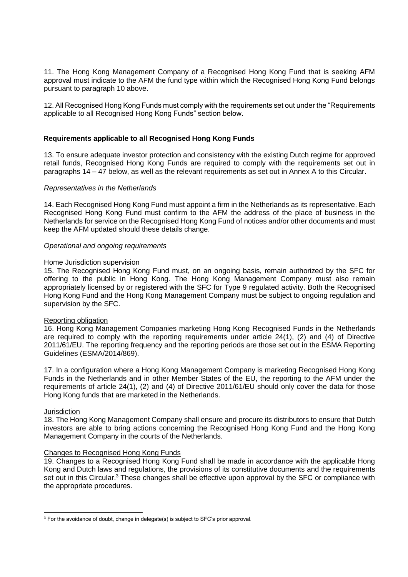11. The Hong Kong Management Company of a Recognised Hong Kong Fund that is seeking AFM approval must indicate to the AFM the fund type within which the Recognised Hong Kong Fund belongs pursuant to paragraph 10 above.

12. All Recognised Hong Kong Funds must comply with the requirements set out under the "Requirements applicable to all Recognised Hong Kong Funds" section below.

### **Requirements applicable to all Recognised Hong Kong Funds**

13. To ensure adequate investor protection and consistency with the existing Dutch regime for approved retail funds, Recognised Hong Kong Funds are required to comply with the requirements set out in paragraphs 14 – 47 below, as well as the relevant requirements as set out in Annex A to this Circular.

### *Representatives in the Netherlands*

14. Each Recognised Hong Kong Fund must appoint a firm in the Netherlands as its representative. Each Recognised Hong Kong Fund must confirm to the AFM the address of the place of business in the Netherlands for service on the Recognised Hong Kong Fund of notices and/or other documents and must keep the AFM updated should these details change.

### *Operational and ongoing requirements*

#### Home Jurisdiction supervision

15. The Recognised Hong Kong Fund must, on an ongoing basis, remain authorized by the SFC for offering to the public in Hong Kong. The Hong Kong Management Company must also remain appropriately licensed by or registered with the SFC for Type 9 regulated activity. Both the Recognised Hong Kong Fund and the Hong Kong Management Company must be subject to ongoing regulation and supervision by the SFC.

### Reporting obligation

16. Hong Kong Management Companies marketing Hong Kong Recognised Funds in the Netherlands are required to comply with the reporting requirements under article 24(1), (2) and (4) of Directive 2011/61/EU. The reporting frequency and the reporting periods are those set out in the ESMA Reporting Guidelines (ESMA/2014/869).

17. In a configuration where a Hong Kong Management Company is marketing Recognised Hong Kong Funds in the Netherlands and in other Member States of the EU, the reporting to the AFM under the requirements of article 24(1), (2) and (4) of Directive 2011/61/EU should only cover the data for those Hong Kong funds that are marketed in the Netherlands.

### **Jurisdiction**

18. The Hong Kong Management Company shall ensure and procure its distributors to ensure that Dutch investors are able to bring actions concerning the Recognised Hong Kong Fund and the Hong Kong Management Company in the courts of the Netherlands.

### Changes to Recognised Hong Kong Funds

19. Changes to a Recognised Hong Kong Fund shall be made in accordance with the applicable Hong Kong and Dutch laws and regulations, the provisions of its constitutive documents and the requirements set out in this Circular.<sup>3</sup> These changes shall be effective upon approval by the SFC or compliance with the appropriate procedures.

<sup>&</sup>lt;u>.</u> <sup>3</sup> For the avoidance of doubt, change in delegate(s) is subject to SFC's prior approval.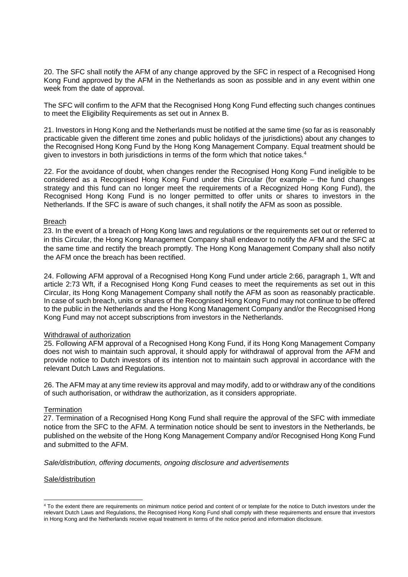20. The SFC shall notify the AFM of any change approved by the SFC in respect of a Recognised Hong Kong Fund approved by the AFM in the Netherlands as soon as possible and in any event within one week from the date of approval.

The SFC will confirm to the AFM that the Recognised Hong Kong Fund effecting such changes continues to meet the Eligibility Requirements as set out in Annex B.

21. Investors in Hong Kong and the Netherlands must be notified at the same time (so far as is reasonably practicable given the different time zones and public holidays of the jurisdictions) about any changes to the Recognised Hong Kong Fund by the Hong Kong Management Company. Equal treatment should be given to investors in both jurisdictions in terms of the form which that notice takes.<sup>4</sup>

22. For the avoidance of doubt, when changes render the Recognised Hong Kong Fund ineligible to be considered as a Recognised Hong Kong Fund under this Circular (for example – the fund changes strategy and this fund can no longer meet the requirements of a Recognized Hong Kong Fund), the Recognised Hong Kong Fund is no longer permitted to offer units or shares to investors in the Netherlands. If the SFC is aware of such changes, it shall notify the AFM as soon as possible.

#### Breach

23. In the event of a breach of Hong Kong laws and regulations or the requirements set out or referred to in this Circular, the Hong Kong Management Company shall endeavor to notify the AFM and the SFC at the same time and rectify the breach promptly. The Hong Kong Management Company shall also notify the AFM once the breach has been rectified.

24. Following AFM approval of a Recognised Hong Kong Fund under article 2:66, paragraph 1, Wft and article 2:73 Wft, if a Recognised Hong Kong Fund ceases to meet the requirements as set out in this Circular, its Hong Kong Management Company shall notify the AFM as soon as reasonably practicable. In case of such breach, units or shares of the Recognised Hong Kong Fund may not continue to be offered to the public in the Netherlands and the Hong Kong Management Company and/or the Recognised Hong Kong Fund may not accept subscriptions from investors in the Netherlands.

### Withdrawal of authorization

25. Following AFM approval of a Recognised Hong Kong Fund, if its Hong Kong Management Company does not wish to maintain such approval, it should apply for withdrawal of approval from the AFM and provide notice to Dutch investors of its intention not to maintain such approval in accordance with the relevant Dutch Laws and Regulations.

26. The AFM may at any time review its approval and may modify, add to or withdraw any of the conditions of such authorisation, or withdraw the authorization, as it considers appropriate.

### **Termination**

27. Termination of a Recognised Hong Kong Fund shall require the approval of the SFC with immediate notice from the SFC to the AFM. A termination notice should be sent to investors in the Netherlands, be published on the website of the Hong Kong Management Company and/or Recognised Hong Kong Fund and submitted to the AFM.

*Sale/distribution, offering documents, ongoing disclosure and advertisements* 

#### Sale/distribution

<u>.</u>

<sup>&</sup>lt;sup>4</sup> To the extent there are requirements on minimum notice period and content of or template for the notice to Dutch investors under the relevant Dutch Laws and Regulations, the Recognised Hong Kong Fund shall comply with these requirements and ensure that investors in Hong Kong and the Netherlands receive equal treatment in terms of the notice period and information disclosure.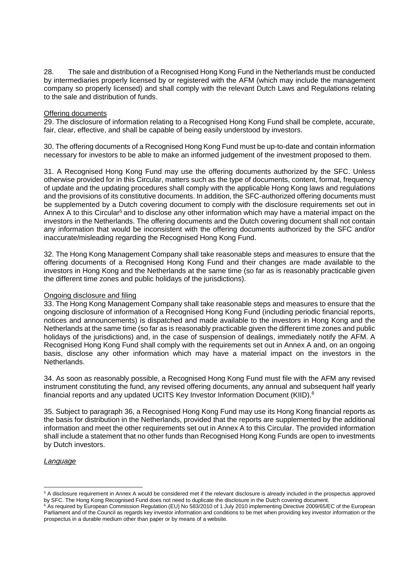28. The sale and distribution of a Recognised Hong Kong Fund in the Netherlands must be conducted by intermediaries properly licensed by or registered with the AFM (which may include the management company so properly licensed) and shall comply with the relevant Dutch Laws and Regulations relating to the sale and distribution of funds.

#### Offering documents

29. The disclosure of information relating to a Recognised Hong Kong Fund shall be complete, accurate, fair, clear, effective, and shall be capable of being easily understood by investors.

30. The offering documents of a Recognised Hong Kong Fund must be up-to-date and contain information necessary for investors to be able to make an informed judgement of the investment proposed to them.

31. A Recognised Hong Kong Fund may use the offering documents authorized by the SFC. Unless otherwise provided for in this Circular, matters such as the type of documents, content, format, frequency of update and the updating procedures shall comply with the applicable Hong Kong laws and regulations and the provisions of its constitutive documents. In addition, the SFC-authorized offering documents must be supplemented by a Dutch covering document to comply with the disclosure requirements set out in Annex A to this Circular<sup>5</sup> and to disclose any other information which may have a material impact on the investors in the Netherlands. The offering documents and the Dutch covering document shall not contain any information that would be inconsistent with the offering documents authorized by the SFC and/or inaccurate/misleading regarding the Recognised Hong Kong Fund.

32. The Hong Kong Management Company shall take reasonable steps and measures to ensure that the offering documents of a Recognised Hong Kong Fund and their changes are made available to the investors in Hong Kong and the Netherlands at the same time (so far as is reasonably practicable given the different time zones and public holidays of the jurisdictions).

### Ongoing disclosure and filing

33. The Hong Kong Management Company shall take reasonable steps and measures to ensure that the ongoing disclosure of information of a Recognised Hong Kong Fund (including periodic financial reports, notices and announcements) is dispatched and made available to the investors in Hong Kong and the Netherlands at the same time (so far as is reasonably practicable given the different time zones and public holidays of the jurisdictions) and, in the case of suspension of dealings, immediately notify the AFM. A Recognised Hong Kong Fund shall comply with the requirements set out in Annex A and, on an ongoing basis, disclose any other information which may have a material impact on the investors in the Netherlands.

34. As soon as reasonably possible, a Recognised Hong Kong Fund must file with the AFM any revised instrument constituting the fund, any revised offering documents, any annual and subsequent half yearly financial reports and any updated UCITS Key Investor Information Document (KIID). 6

35. Subject to paragraph 36, a Recognised Hong Kong Fund may use its Hong Kong financial reports as the basis for distribution in the Netherlands, provided that the reports are supplemented by the additional information and meet the other requirements set out in Annex A to this Circular. The provided information shall include a statement that no other funds than Recognised Hong Kong Funds are open to investments by Dutch investors.

### *Language*

<u>.</u>

<sup>&</sup>lt;sup>5</sup> A disclosure requirement in Annex A would be considered met if the relevant disclosure is already included in the prospectus approved by SFC. The Hong Kong Recognised Fund does not need to duplicate the disclosure in the Dutch covering document.

<sup>&</sup>lt;sup>6</sup> As required by European Commission Regulation (EU) No 583/2010 of 1 July 2010 implementing Directive 2009/65/EC of the European Parliament and of the Council as regards key investor information and conditions to be met when providing key investor information or the prospectus in a durable medium other than paper or by means of a website.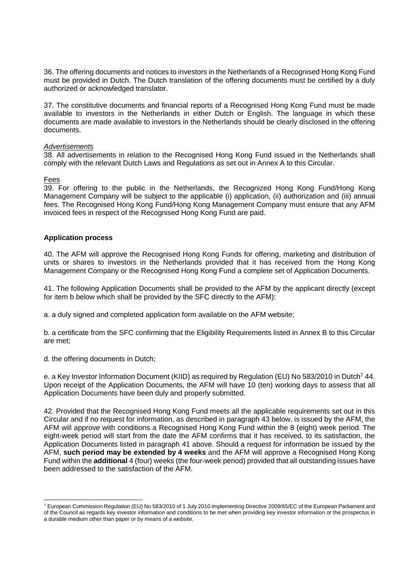36. The offering documents and notices to investors in the Netherlands of a Recognised Hong Kong Fund must be provided in Dutch. The Dutch translation of the offering documents must be certified by a duly authorized or acknowledged translator.

37. The constitutive documents and financial reports of a Recognised Hong Kong Fund must be made available to investors in the Netherlands in either Dutch or English. The language in which these documents are made available to investors in the Netherlands should be clearly disclosed in the offering documents.

#### *Advertisements*

38. All advertisements in relation to the Recognised Hong Kong Fund issued in the Netherlands shall comply with the relevant Dutch Laws and Regulations as set out in Annex A to this Circular.

#### Fees

<u>.</u>

39. For offering to the public in the Netherlands, the Recognized Hong Kong Fund/Hong Kong Management Company will be subject to the applicable (i) application, (ii) authorization and (iii) annual fees. The Recognised Hong Kong Fund/Hong Kong Management Company must ensure that any AFM invoiced fees in respect of the Recognised Hong Kong Fund are paid.

### **Application process**

40. The AFM will approve the Recognised Hong Kong Funds for offering, marketing and distribution of units or shares to investors in the Netherlands provided that it has received from the Hong Kong Management Company or the Recognised Hong Kong Fund a complete set of Application Documents.

41. The following Application Documents shall be provided to the AFM by the applicant directly (except for item b below which shall be provided by the SFC directly to the AFM):

a. a duly signed and completed application form available on the AFM website;

b. a certificate from the SFC confirming that the Eligibility Requirements listed in Annex B to this Circular are met;

d. the offering documents in Dutch;

e. a Key Investor Information Document (KIID) as required by Regulation (EU) No 583/2010 in Dutch<sup>7</sup> 44. Upon receipt of the Application Documents, the AFM will have 10 (ten) working days to assess that all Application Documents have been duly and properly submitted.

42. Provided that the Recognised Hong Kong Fund meets all the applicable requirements set out in this Circular and if no request for information, as described in paragraph 43 below, is issued by the AFM, the AFM will approve with conditions a Recognised Hong Kong Fund within the 8 (eight) week period. The eight-week period will start from the date the AFM confirms that it has received, to its satisfaction, the Application Documents listed in paragraph 41 above. Should a request for information be issued by the AFM, **such period may be extended by 4 weeks** and the AFM will approve a Recognised Hong Kong Fund within the **additional** 4 (four) weeks (the four-week period) provided that all outstanding issues have been addressed to the satisfaction of the AFM.

<sup>7</sup> European Commission Regulation (EU) No 583/2010 of 1 July 2010 implementing Directive 2009/65/EC of the European Parliament and of the Council as regards key investor information and conditions to be met when providing key investor information or the prospectus in a durable medium other than paper or by means of a website.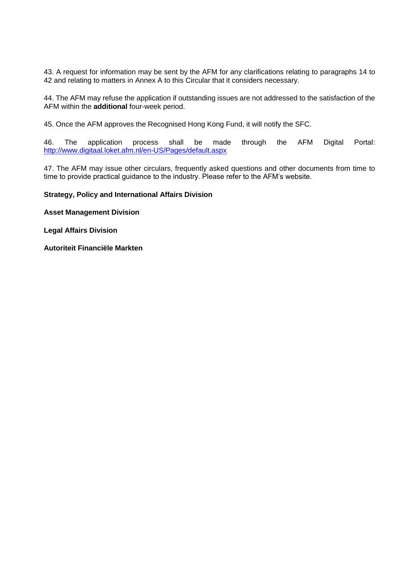43. A request for information may be sent by the AFM for any clarifications relating to paragraphs 14 to 42 and relating to matters in Annex A to this Circular that it considers necessary.

44. The AFM may refuse the application if outstanding issues are not addressed to the satisfaction of the AFM within the **additional** four-week period.

45. Once the AFM approves the Recognised Hong Kong Fund, it will notify the SFC.

46. The application process shall be made through the AFM Digital Portal: <http://www.digitaal.loket.afm.nl/en-US/Pages/default.aspx>

47. The AFM may issue other circulars, frequently asked questions and other documents from time to time to provide practical guidance to the industry. Please refer to the AFM's website.

#### **Strategy, Policy and International Affairs Division**

**Asset Management Division** 

**Legal Affairs Division**

**Autoriteit Financiële Markten**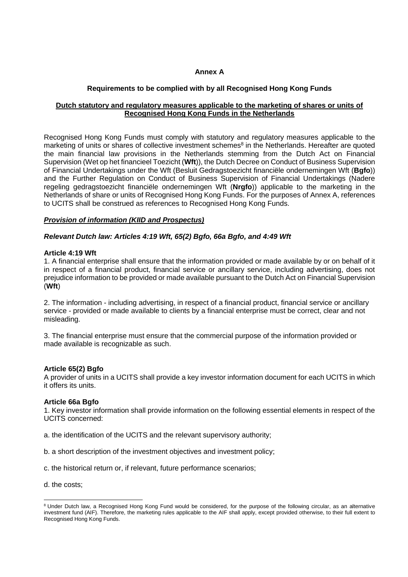### **Annex A**

### **Requirements to be complied with by all Recognised Hong Kong Funds**

### **Dutch statutory and regulatory measures applicable to the marketing of shares or units of Recognised Hong Kong Funds in the Netherlands**

Recognised Hong Kong Funds must comply with statutory and regulatory measures applicable to the marketing of units or shares of collective investment schemes<sup>8</sup> in the Netherlands. Hereafter are quoted the main financial law provisions in the Netherlands stemming from the Dutch Act on Financial Supervision (Wet op het financieel Toezicht (**Wft**)), the Dutch Decree on Conduct of Business Supervision of Financial Undertakings under the Wft (Besluit Gedragstoezicht financiële ondernemingen Wft (**Bgfo**)) and the Further Regulation on Conduct of Business Supervision of Financial Undertakings (Nadere regeling gedragstoezicht financiële ondernemingen Wft (**Nrgfo**)) applicable to the marketing in the Netherlands of share or units of Recognised Hong Kong Funds. For the purposes of Annex A, references to UCITS shall be construed as references to Recognised Hong Kong Funds.

### *Provision of information (KIID and Prospectus)*

### *Relevant Dutch law: Articles 4:19 Wft, 65(2) Bgfo, 66a Bgfo, and 4:49 Wft*

### **Article 4:19 Wft**

1. A financial enterprise shall ensure that the information provided or made available by or on behalf of it in respect of a financial product, financial service or ancillary service, including advertising, does not prejudice information to be provided or made available pursuant to the Dutch Act on Financial Supervision (**Wft**)

2. The information - including advertising, in respect of a financial product, financial service or ancillary service - provided or made available to clients by a financial enterprise must be correct, clear and not misleading.

3. The financial enterprise must ensure that the commercial purpose of the information provided or made available is recognizable as such.

### **Article 65(2) Bgfo**

A provider of units in a UCITS shall provide a key investor information document for each UCITS in which it offers its units.

### **Article 66a Bgfo**

1. Key investor information shall provide information on the following essential elements in respect of the UCITS concerned:

- a. the identification of the UCITS and the relevant supervisory authority;
- b. a short description of the investment objectives and investment policy;
- c. the historical return or, if relevant, future performance scenarios;

d. the costs;

<u>.</u>

<sup>&</sup>lt;sup>8</sup> Under Dutch law, a Recognised Hong Kong Fund would be considered, for the purpose of the following circular, as an alternative investment fund (AIF). Therefore, the marketing rules applicable to the AIF shall apply, except provided otherwise, to their full extent to Recognised Hong Kong Funds.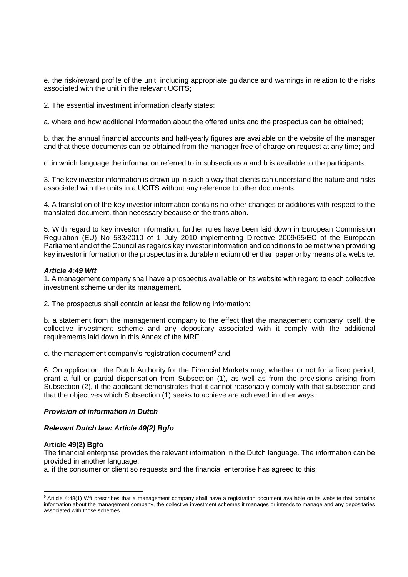e. the risk/reward profile of the unit, including appropriate guidance and warnings in relation to the risks associated with the unit in the relevant UCITS;

2. The essential investment information clearly states:

a. where and how additional information about the offered units and the prospectus can be obtained;

b. that the annual financial accounts and half-yearly figures are available on the website of the manager and that these documents can be obtained from the manager free of charge on request at any time; and

c. in which language the information referred to in subsections a and b is available to the participants.

3. The key investor information is drawn up in such a way that clients can understand the nature and risks associated with the units in a UCITS without any reference to other documents.

4. A translation of the key investor information contains no other changes or additions with respect to the translated document, than necessary because of the translation.

5. With regard to key investor information, further rules have been laid down in European Commission Regulation (EU) No 583/2010 of 1 July 2010 implementing Directive 2009/65/EC of the European Parliament and of the Council as regards key investor information and conditions to be met when providing key investor information or the prospectus in a durable medium other than paper or by means of a website.

#### *Article 4:49 Wft*

1. A management company shall have a prospectus available on its website with regard to each collective investment scheme under its management.

2. The prospectus shall contain at least the following information:

b. a statement from the management company to the effect that the management company itself, the collective investment scheme and any depositary associated with it comply with the additional requirements laid down in this Annex of the MRF.

d. the management company's registration document<sup>9</sup> and

6. On application, the Dutch Authority for the Financial Markets may, whether or not for a fixed period, grant a full or partial dispensation from Subsection (1), as well as from the provisions arising from Subsection (2), if the applicant demonstrates that it cannot reasonably comply with that subsection and that the objectives which Subsection (1) seeks to achieve are achieved in other ways.

#### *Provision of information in Dutch*

#### *Relevant Dutch law: Article 49(2) Bgfo*

#### **Article 49(2) Bgfo**

-

The financial enterprise provides the relevant information in the Dutch language. The information can be provided in another language:

a. if the consumer or client so requests and the financial enterprise has agreed to this;

<sup>9</sup> Article 4:48(1) Wft prescribes that a management company shall have a registration document available on its website that contains information about the management company, the collective investment schemes it manages or intends to manage and any depositaries associated with those schemes.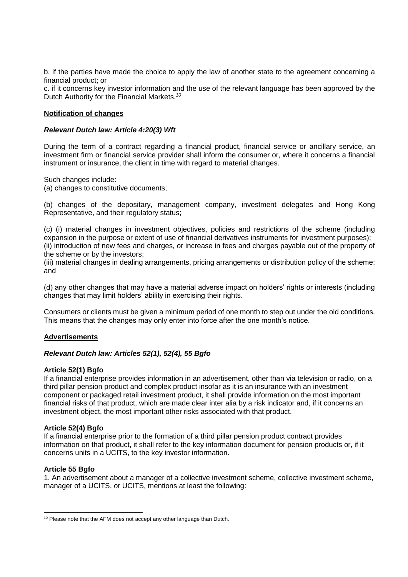b. if the parties have made the choice to apply the law of another state to the agreement concerning a financial product; or

c. if it concerns key investor information and the use of the relevant language has been approved by the Dutch Authority for the Financial Markets.*<sup>10</sup>*

### **Notification of changes**

### *Relevant Dutch law: Article 4:20(3) Wft*

During the term of a contract regarding a financial product, financial service or ancillary service, an investment firm or financial service provider shall inform the consumer or, where it concerns a financial instrument or insurance, the client in time with regard to material changes.

Such changes include:

(a) changes to constitutive documents;

(b) changes of the depositary, management company, investment delegates and Hong Kong Representative, and their regulatory status;

(c) (i) material changes in investment objectives, policies and restrictions of the scheme (including expansion in the purpose or extent of use of financial derivatives instruments for investment purposes); (ii) introduction of new fees and charges, or increase in fees and charges payable out of the property of the scheme or by the investors;

(iii) material changes in dealing arrangements, pricing arrangements or distribution policy of the scheme; and

(d) any other changes that may have a material adverse impact on holders' rights or interests (including changes that may limit holders' ability in exercising their rights.

Consumers or clients must be given a minimum period of one month to step out under the old conditions. This means that the changes may only enter into force after the one month's notice.

### **Advertisements**

### *Relevant Dutch law: Articles 52(1), 52(4), 55 Bgfo*

### **Article 52(1) Bgfo**

If a financial enterprise provides information in an advertisement, other than via television or radio, on a third pillar pension product and complex product insofar as it is an insurance with an investment component or packaged retail investment product, it shall provide information on the most important financial risks of that product, which are made clear inter alia by a risk indicator and, if it concerns an investment object, the most important other risks associated with that product.

#### **Article 52(4) Bgfo**

If a financial enterprise prior to the formation of a third pillar pension product contract provides information on that product, it shall refer to the key information document for pension products or, if it concerns units in a UCITS, to the key investor information.

### **Article 55 Bgfo**

1. An advertisement about a manager of a collective investment scheme, collective investment scheme, manager of a UCITS, or UCITS, mentions at least the following:

<sup>&</sup>lt;u>.</u> <sup>10</sup> Please note that the AFM does not accept any other language than Dutch.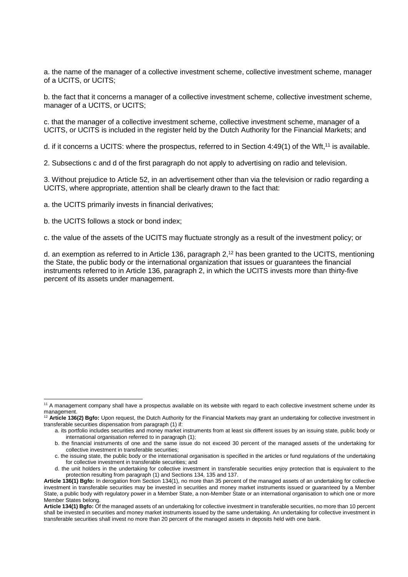a. the name of the manager of a collective investment scheme, collective investment scheme, manager of a UCITS, or UCITS;

b. the fact that it concerns a manager of a collective investment scheme, collective investment scheme, manager of a UCITS, or UCITS;

c. that the manager of a collective investment scheme, collective investment scheme, manager of a UCITS, or UCITS is included in the register held by the Dutch Authority for the Financial Markets; and

d. if it concerns a UCITS: where the prospectus, referred to in Section 4:49(1) of the Wft.<sup>11</sup> is available.

2. Subsections c and d of the first paragraph do not apply to advertising on radio and television.

3. Without prejudice to Article 52, in an advertisement other than via the television or radio regarding a UCITS, where appropriate, attention shall be clearly drawn to the fact that:

a. the UCITS primarily invests in financial derivatives;

b. the UCITS follows a stock or bond index;

c. the value of the assets of the UCITS may fluctuate strongly as a result of the investment policy; or

d. an exemption as referred to in Article 136, paragraph 2,<sup>12</sup> has been granted to the UCITS, mentioning the State, the public body or the international organization that issues or guarantees the financial instruments referred to in Article 136, paragraph 2, in which the UCITS invests more than thirty-five percent of its assets under management.

<sup>&</sup>lt;u>.</u> <sup>11</sup> A management company shall have a prospectus available on its website with regard to each collective investment scheme under its management.

<sup>12</sup> **Article 136(2) Bgfo:** Upon request, the Dutch Authority for the Financial Markets may grant an undertaking for collective investment in transferable securities dispensation from paragraph (1) if:

a. its portfolio includes securities and money market instruments from at least six different issues by an issuing state, public body or international organisation referred to in paragraph (1);

b. the financial instruments of one and the same issue do not exceed 30 percent of the managed assets of the undertaking for collective investment in transferable securities;

c. the issuing state, the public body or the international organisation is specified in the articles or fund regulations of the undertaking for collective investment in transferable securities; and

d. the unit holders in the undertaking for collective investment in transferable securities enjoy protection that is equivalent to the protection resulting from paragraph (1) and Sections 134, 135 and 137.

**Article 136(1) Bgfo:** In derogation from Section 134(1), no more than 35 percent of the managed assets of an undertaking for collective investment in transferable securities may be invested in securities and money market instruments issued or guaranteed by a Member State, a public body with regulatory power in a Member State, a non-Member State or an international organisation to which one or more Member States belong.

**Article 134(1) Bgfo:** Of the managed assets of an undertaking for collective investment in transferable securities, no more than 10 percent shall be invested in securities and money market instruments issued by the same undertaking. An undertaking for collective investment in transferable securities shall invest no more than 20 percent of the managed assets in deposits held with one bank.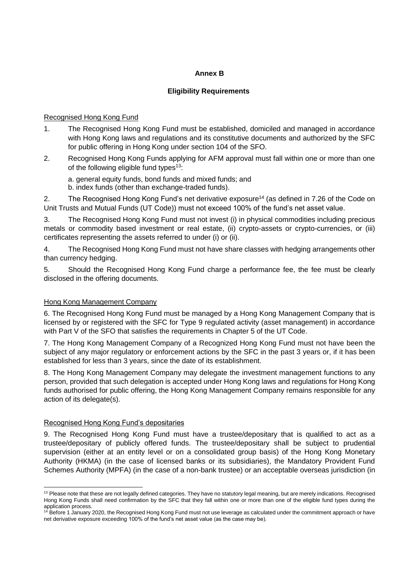### **Annex B**

### **Eligibility Requirements**

### Recognised Hong Kong Fund

- 1. The Recognised Hong Kong Fund must be established, domiciled and managed in accordance with Hong Kong laws and regulations and its constitutive documents and authorized by the SFC for public offering in Hong Kong under section 104 of the SFO.
- 2. Recognised Hong Kong Funds applying for AFM approval must fall within one or more than one of the following eligible fund types<sup>13</sup>:

a. general equity funds, bond funds and mixed funds; and

b. index funds (other than exchange-traded funds).

2. The Recognised Hong Kong Fund's net derivative exposure<sup>14</sup> (as defined in 7.26 of the Code on Unit Trusts and Mutual Funds (UT Code)) must not exceed 100% of the fund's net asset value.

3. The Recognised Hong Kong Fund must not invest (i) in physical commodities including precious metals or commodity based investment or real estate, (ii) crypto-assets or crypto-currencies, or (iii) certificates representing the assets referred to under (i) or (ii).

4. The Recognised Hong Kong Fund must not have share classes with hedging arrangements other than currency hedging.

5. Should the Recognised Hong Kong Fund charge a performance fee, the fee must be clearly disclosed in the offering documents.

### Hong Kong Management Company

6. The Recognised Hong Kong Fund must be managed by a Hong Kong Management Company that is licensed by or registered with the SFC for Type 9 regulated activity (asset management) in accordance with Part V of the SFO that satisfies the requirements in Chapter 5 of the UT Code.

7. The Hong Kong Management Company of a Recognized Hong Kong Fund must not have been the subject of any major regulatory or enforcement actions by the SFC in the past 3 years or, if it has been established for less than 3 years, since the date of its establishment.

8. The Hong Kong Management Company may delegate the investment management functions to any person, provided that such delegation is accepted under Hong Kong laws and regulations for Hong Kong funds authorised for public offering, the Hong Kong Management Company remains responsible for any action of its delegate(s).

### Recognised Hong Kong Fund's depositaries

<u>.</u>

9. The Recognised Hong Kong Fund must have a trustee/depositary that is qualified to act as a trustee/depositary of publicly offered funds. The trustee/depositary shall be subject to prudential supervision (either at an entity level or on a consolidated group basis) of the Hong Kong Monetary Authority (HKMA) (in the case of licensed banks or its subsidiaries), the Mandatory Provident Fund Schemes Authority (MPFA) (in the case of a non-bank trustee) or an acceptable overseas jurisdiction (in

<sup>&</sup>lt;sup>13</sup> Please note that these are not legally defined categories. They have no statutory legal meaning, but are merely indications. Recognised Hong Kong Funds shall need confirmation by the SFC that they fall within one or more than one of the eligible fund types during the application process.

<sup>&</sup>lt;sup>14</sup> Before 1 January 2020, the Recognised Hong Kong Fund must not use leverage as calculated under the commitment approach or have net derivative exposure exceeding 100% of the fund's net asset value (as the case may be).